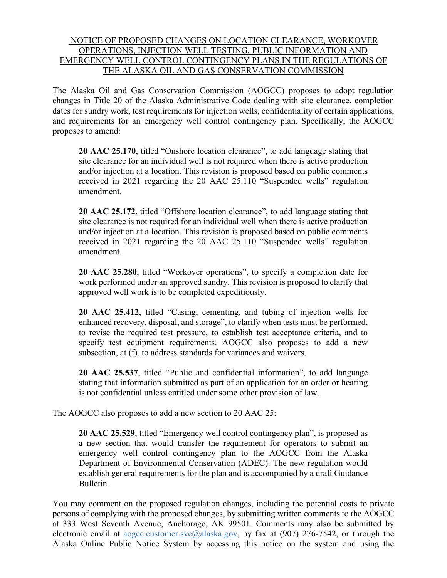## NOTICE OF PROPOSED CHANGES ON LOCATION CLEARANCE, WORKOVER OPERATIONS, INJECTION WELL TESTING, PUBLIC INFORMATION AND EMERGENCY WELL CONTROL CONTINGENCY PLANS IN THE REGULATIONS OF THE ALASKA OIL AND GAS CONSERVATION COMMISSION

The Alaska Oil and Gas Conservation Commission (AOGCC) proposes to adopt regulation changes in Title 20 of the Alaska Administrative Code dealing with site clearance, completion dates for sundry work, test requirements for injection wells, confidentiality of certain applications, and requirements for an emergency well control contingency plan. Specifically, the AOGCC proposes to amend:

**20 AAC 25.170**, titled "Onshore location clearance", to add language stating that site clearance for an individual well is not required when there is active production and/or injection at a location. This revision is proposed based on public comments received in 2021 regarding the 20 AAC 25.110 "Suspended wells" regulation amendment.

**20 AAC 25.172**, titled "Offshore location clearance", to add language stating that site clearance is not required for an individual well when there is active production and/or injection at a location. This revision is proposed based on public comments received in 2021 regarding the 20 AAC 25.110 "Suspended wells" regulation amendment.

**20 AAC 25.280**, titled "Workover operations", to specify a completion date for work performed under an approved sundry. This revision is proposed to clarify that approved well work is to be completed expeditiously.

**20 AAC 25.412**, titled "Casing, cementing, and tubing of injection wells for enhanced recovery, disposal, and storage", to clarify when tests must be performed, to revise the required test pressure, to establish test acceptance criteria, and to specify test equipment requirements. AOGCC also proposes to add a new subsection, at (f), to address standards for variances and waivers.

**20 AAC 25.537**, titled "Public and confidential information", to add language stating that information submitted as part of an application for an order or hearing is not confidential unless entitled under some other provision of law.

The AOGCC also proposes to add a new section to 20 AAC 25:

**20 AAC 25.529**, titled "Emergency well control contingency plan", is proposed as a new section that would transfer the requirement for operators to submit an emergency well control contingency plan to the AOGCC from the Alaska Department of Environmental Conservation (ADEC). The new regulation would establish general requirements for the plan and is accompanied by a draft Guidance Bulletin.

You may comment on the proposed regulation changes, including the potential costs to private persons of complying with the proposed changes, by submitting written comments to the AOGCC at 333 West Seventh Avenue, Anchorage, AK 99501. Comments may also be submitted by electronic email at aogcc.customer.svc@alaska.gov, by fax at (907) 276-7542, or through the Alaska Online Public Notice System by accessing this notice on the system and using the